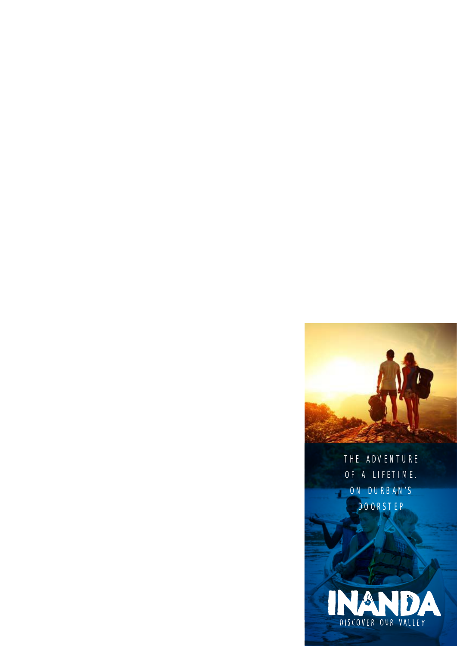THE ADVENTURE OF A LIFETIME. ON DURBAN'S DOORSTEP

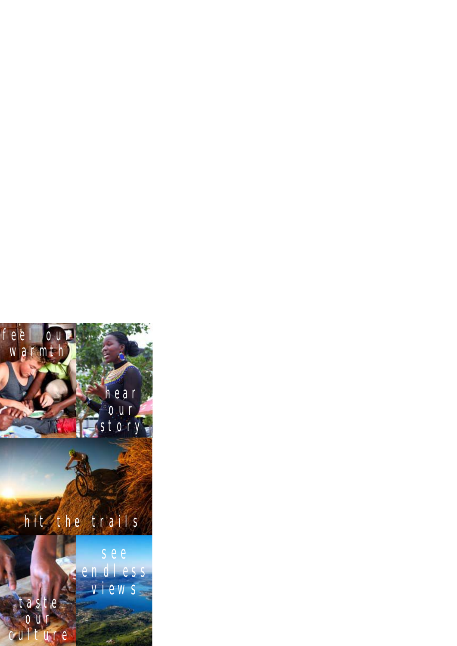## f e le loui warmth

## h e a r o u r story

ı.

## hit the trails

s e e e n d l e s s views

taste our culture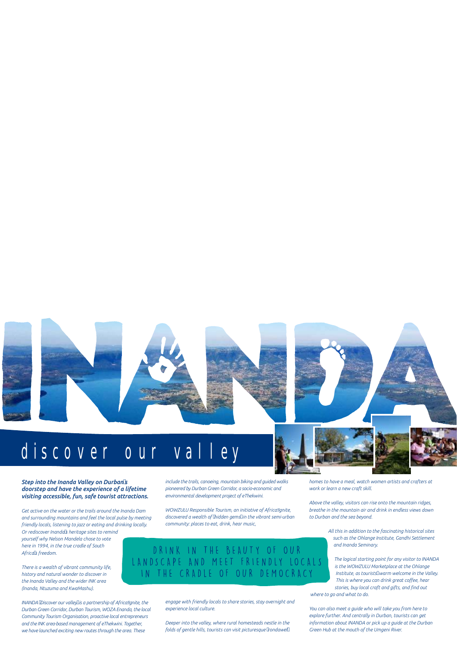## discover our valley

#### *Step into the Inanda Valley on Durban's doorstep and have the experience of a lifetime visiting accessible, fun, safe tourist attractions.*

*Get active on the water or the trails around the Inanda Dam and surrounding mountains and feel the local pulse by meeting friendly locals, listening to jazz or eating and drinking locally. Or rediscover Inanda's heritage sites to remind yourself why Nelson Mandela chose to vote here in 1994, in the true cradle of South Africa's freedom.*

*There is a wealth of vibrant community life, history and natural wonder to discover in the Inanda Valley and the wider INK area (Inanda, Ntuzuma and KwaMashu).*

*INANDA 'Discover our valley' is a partnership of Africa!Ignite, the Durban Green Corridor, Durban Tourism, WOZA Enanda, the local Community Tourism Organisation, proactive local entrepreneurs and the INK area-based management of eThekwini. Together, we have launched exciting new routes through the area. These* 

*include the trails, canoeing, mountain biking and guided walks pioneered by Durban Green Corridor, a socio-economic and environmental development project of eThekwini.*

*WOWZULU Responsible Tourism, an initiative of Africa!Ignite, discovered a wealth of 'hidden gems' in the vibrant semi-urban community: places to eat, drink, hear music,* 

#### DRINK IN THE BEAUTY OF OUR LANDSCAPE AND MEET FRIENDLY LOCALS IN THE CRADLE OF OUR DEMOCRACY

*engage with friendly locals to share stories, stay overnight and experience local culture.* 

*Deeper into the valley, where rural homesteads nestle in the folds of gentle hills, tourists can visit picturesque 'rondawel'* 

*homes to have a meal, watch women artists and crafters at work or learn a new craft skill.*

*Above the valley, visitors can rise onto the mountain ridges, breathe in the mountain air and drink in endless views down to Durban and the sea beyond.*

> *All this in addition to the fascinating historical sites such as the Ohlange Institute, Gandhi Settlement and Inanda Seminary.*

*The logical starting point for any visitor to INANDA is the WOWZULU Marketplace at the Ohlange Institute, as tourists' warm welcome in the Valley. This is where you can drink great coffee, hear stories, buy local craft and gifts, and find out where to go and what to do.*

*You can also meet a guide who will take you from here to explore further. And centrally in Durban, tourists can get information about INANDA or pick up a guide at the Durban Green Hub at the mouth of the Umgeni River.* 



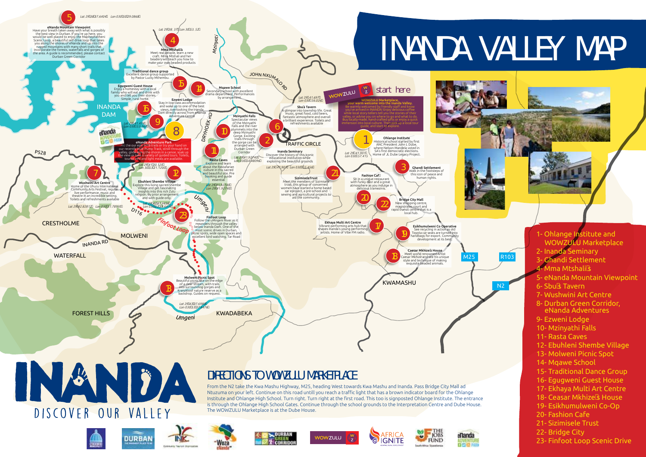N2

#### 1- Ohlange Institute and WOWZULU Marketplace

- 2- Inanda Seminary
- 3- Ghandi Settlement
- 4- Mma Mtshali's

R103

- 5- eNanda Mountain Viewpoint
- 6- Sbu's Tavern
- 7- Wushwini Art Centre
- 8- Durban Green Corridor, eNanda Adventures
- 9- Ezweni Lodge
- 10- Mzinyathi Falls
- 11- Rasta Caves
- 12- Ebuhleni Shembe Village
- 13- Molweni Picnic Spot
- 14- Mqawe School
- 15- Traditional Dance Group
- 16- Egugweni Guest House
- 17- Ekhaya Multi Art Centre
- 18- Ceasar Mkhize's House
- 19- Esikhumulweni Co-Op
- 20- Fashion Cafe
- 21- Sizimisele Trust
- 22- Bridge City
- 23- Finfoot Loop Scenic Drive



















# INANDA VALLEY MAP